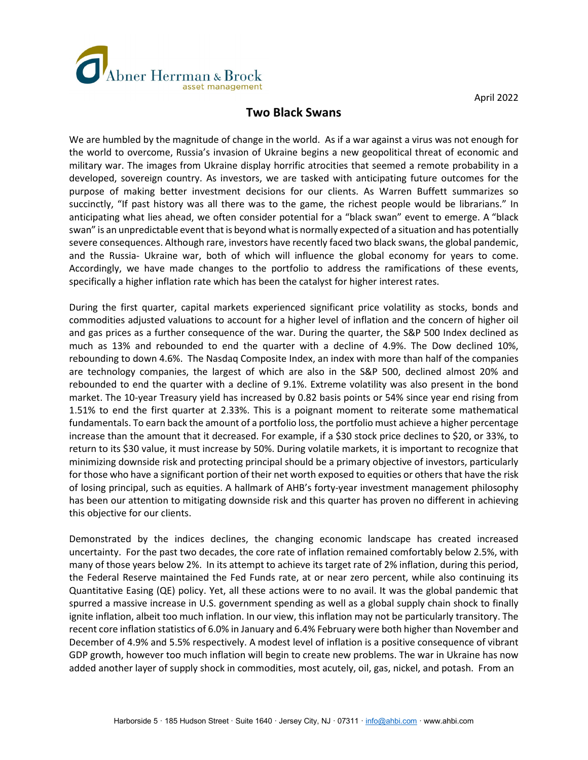

April 2022

## **Two Black Swans**

We are humbled by the magnitude of change in the world. As if a war against a virus was not enough for the world to overcome, Russia's invasion of Ukraine begins a new geopolitical threat of economic and military war. The images from Ukraine display horrific atrocities that seemed a remote probability in a developed, sovereign country. As investors, we are tasked with anticipating future outcomes for the purpose of making better investment decisions for our clients. As Warren Buffett summarizes so succinctly, "If past history was all there was to the game, the richest people would be librarians." In anticipating what lies ahead, we often consider potential for a "black swan" event to emerge. A "black swan" is an unpredictable event that is beyond what is normally expected of a situation and has potentially severe consequences. Although rare, investors have recently faced two black swans, the global pandemic, and the Russia- Ukraine war, both of which will influence the global economy for years to come. Accordingly, we have made changes to the portfolio to address the ramifications of these events, specifically a higher inflation rate which has been the catalyst for higher interest rates.

During the first quarter, capital markets experienced significant price volatility as stocks, bonds and commodities adjusted valuations to account for a higher level of inflation and the concern of higher oil and gas prices as a further consequence of the war. During the quarter, the S&P 500 Index declined as much as 13% and rebounded to end the quarter with a decline of 4.9%. The Dow declined 10%, rebounding to down 4.6%. The Nasdaq Composite Index, an index with more than half of the companies are technology companies, the largest of which are also in the S&P 500, declined almost 20% and rebounded to end the quarter with a decline of 9.1%. Extreme volatility was also present in the bond market. The 10-year Treasury yield has increased by 0.82 basis points or 54% since year end rising from 1.51% to end the first quarter at 2.33%. This is a poignant moment to reiterate some mathematical fundamentals. To earn back the amount of a portfolio loss, the portfolio must achieve a higher percentage increase than the amount that it decreased. For example, if a \$30 stock price declines to \$20, or 33%, to return to its \$30 value, it must increase by 50%. During volatile markets, it is important to recognize that minimizing downside risk and protecting principal should be a primary objective of investors, particularly for those who have a significant portion of their net worth exposed to equities or others that have the risk of losing principal, such as equities. A hallmark of AHB's forty-year investment management philosophy has been our attention to mitigating downside risk and this quarter has proven no different in achieving this objective for our clients.

Demonstrated by the indices declines, the changing economic landscape has created increased uncertainty. For the past two decades, the core rate of inflation remained comfortably below 2.5%, with many of those years below 2%. In its attempt to achieve its target rate of 2% inflation, during this period, the Federal Reserve maintained the Fed Funds rate, at or near zero percent, while also continuing its Quantitative Easing (QE) policy. Yet, all these actions were to no avail. It was the global pandemic that spurred a massive increase in U.S. government spending as well as a global supply chain shock to finally ignite inflation, albeit too much inflation. In our view, this inflation may not be particularly transitory. The recent core inflation statistics of 6.0% in January and 6.4% February were both higher than November and December of 4.9% and 5.5% respectively. A modest level of inflation is a positive consequence of vibrant GDP growth, however too much inflation will begin to create new problems. The war in Ukraine has now added another layer of supply shock in commodities, most acutely, oil, gas, nickel, and potash. From an